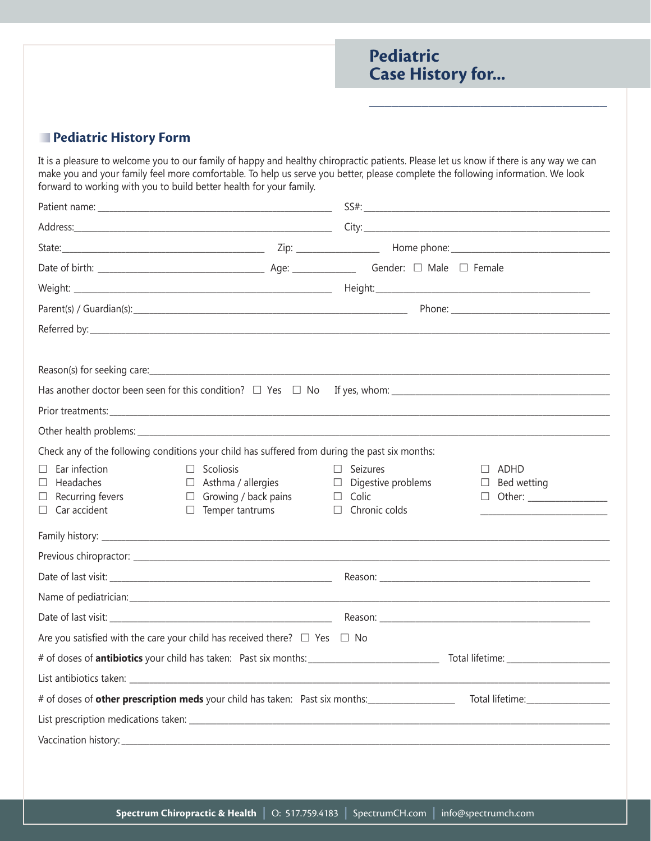## **Pediatric Case History for...**

**\_\_\_\_\_\_\_\_\_\_\_\_\_\_\_\_\_\_\_\_\_\_\_\_\_\_\_\_\_\_\_\_**

## **Pediatric History Form**

It is a pleasure to welcome you to our family of happy and healthy chiropractic patients. Please let us know if there is any way we can make you and your family feel more comfortable. To help us serve you better, please complete the following information. We look forward to working with you to build better health for your family.

|                                                                                                                                                                                                    | SS#                                                                                                                       |
|----------------------------------------------------------------------------------------------------------------------------------------------------------------------------------------------------|---------------------------------------------------------------------------------------------------------------------------|
|                                                                                                                                                                                                    |                                                                                                                           |
|                                                                                                                                                                                                    |                                                                                                                           |
|                                                                                                                                                                                                    |                                                                                                                           |
|                                                                                                                                                                                                    |                                                                                                                           |
|                                                                                                                                                                                                    |                                                                                                                           |
|                                                                                                                                                                                                    |                                                                                                                           |
|                                                                                                                                                                                                    |                                                                                                                           |
|                                                                                                                                                                                                    |                                                                                                                           |
|                                                                                                                                                                                                    |                                                                                                                           |
|                                                                                                                                                                                                    |                                                                                                                           |
|                                                                                                                                                                                                    |                                                                                                                           |
| Check any of the following conditions your child has suffered from during the past six months:                                                                                                     |                                                                                                                           |
| $\Box$ Ear infection<br>$\Box$ Scoliosis<br>Headaches<br>$\Box$ Asthma / allergies<br>ш<br>$\Box$ Growing / back pains<br>$\Box$ Recurring fevers<br>$\Box$ Car accident<br>$\Box$ Temper tantrums | $\Box$ Seizures<br>$\Box$ ADHD<br>$\Box$ Digestive problems<br>$\Box$ Bed wetting<br>$\Box$ Colic<br>$\Box$ Chronic colds |
|                                                                                                                                                                                                    |                                                                                                                           |
|                                                                                                                                                                                                    |                                                                                                                           |
|                                                                                                                                                                                                    |                                                                                                                           |
|                                                                                                                                                                                                    |                                                                                                                           |
|                                                                                                                                                                                                    |                                                                                                                           |
| Are you satisfied with the care your child has received there? $\Box$ Yes $\Box$ No                                                                                                                |                                                                                                                           |
|                                                                                                                                                                                                    |                                                                                                                           |
| List antibiotics taken: experience and a series of the series of the series of the series of the series of the                                                                                     |                                                                                                                           |
| # of doses of <b>other prescription meds</b> your child has taken: Past six months:                                                                                                                | Total lifetime: __________________                                                                                        |
|                                                                                                                                                                                                    |                                                                                                                           |
|                                                                                                                                                                                                    |                                                                                                                           |
|                                                                                                                                                                                                    |                                                                                                                           |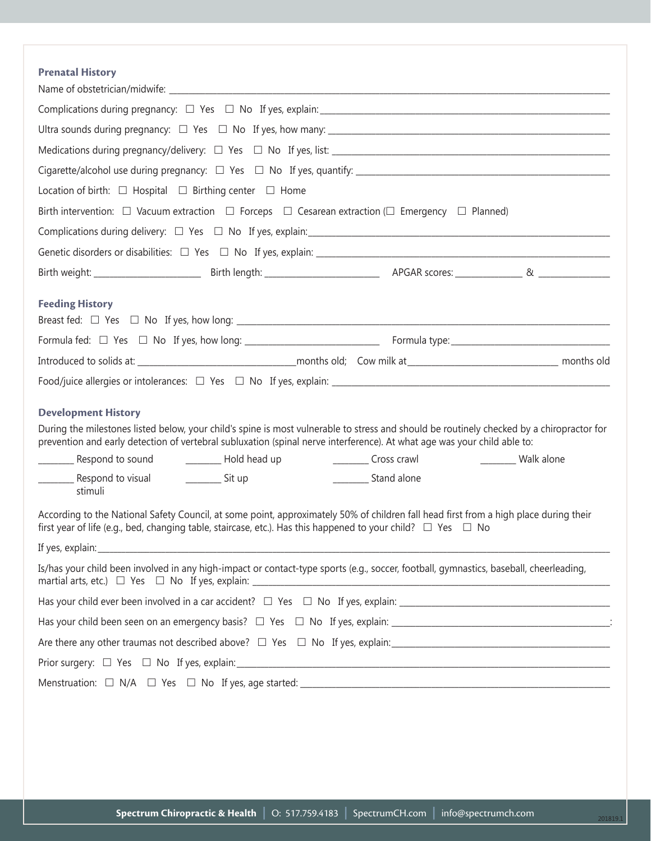| <b>Prenatal History</b>                                                                                                                                                                                                                                               |  |  |
|-----------------------------------------------------------------------------------------------------------------------------------------------------------------------------------------------------------------------------------------------------------------------|--|--|
|                                                                                                                                                                                                                                                                       |  |  |
|                                                                                                                                                                                                                                                                       |  |  |
|                                                                                                                                                                                                                                                                       |  |  |
|                                                                                                                                                                                                                                                                       |  |  |
|                                                                                                                                                                                                                                                                       |  |  |
| Location of birth: $\Box$ Hospital $\Box$ Birthing center $\Box$ Home                                                                                                                                                                                                 |  |  |
| Birth intervention: $\Box$ Vacuum extraction $\Box$ Forceps $\Box$ Cesarean extraction ( $\Box$ Emergency $\Box$ Planned)                                                                                                                                             |  |  |
|                                                                                                                                                                                                                                                                       |  |  |
|                                                                                                                                                                                                                                                                       |  |  |
|                                                                                                                                                                                                                                                                       |  |  |
| <b>Feeding History</b>                                                                                                                                                                                                                                                |  |  |
|                                                                                                                                                                                                                                                                       |  |  |
|                                                                                                                                                                                                                                                                       |  |  |
|                                                                                                                                                                                                                                                                       |  |  |
| <b>Development History</b>                                                                                                                                                                                                                                            |  |  |
| During the milestones listed below, your child's spine is most vulnerable to stress and should be routinely checked by a chiropractor for<br>prevention and early detection of vertebral subluxation (spinal nerve interference). At what age was your child able to: |  |  |
| _________ Respond to sound ____________ Hold head up ______________ Cross crawl ____________________ Walk alone                                                                                                                                                       |  |  |
| __________ Respond to visual ______________ Sit up<br>stimuli                                                                                                                                                                                                         |  |  |
| According to the National Safety Council, at some point, approximately 50% of children fall head first from a high place during their<br>first year of life (e.g., bed, changing table, staircase, etc.). Has this happened to your child? $\square$ Yes $\square$ No |  |  |
|                                                                                                                                                                                                                                                                       |  |  |
| Is/has your child been involved in any high-impact or contact-type sports (e.g., soccer, football, gymnastics, baseball, cheerleading,                                                                                                                                |  |  |
|                                                                                                                                                                                                                                                                       |  |  |
|                                                                                                                                                                                                                                                                       |  |  |
|                                                                                                                                                                                                                                                                       |  |  |
|                                                                                                                                                                                                                                                                       |  |  |
|                                                                                                                                                                                                                                                                       |  |  |
|                                                                                                                                                                                                                                                                       |  |  |